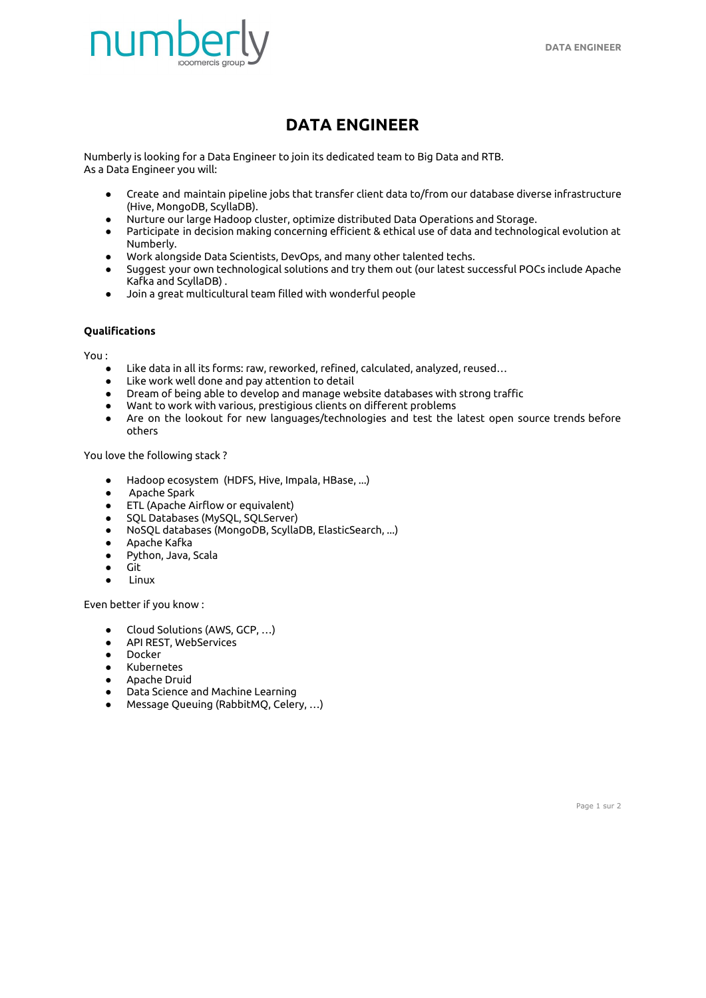

## **DATA ENGINEER**

Numberly is looking for a Data Engineer to join its dedicated team to Big Data and RTB. As a Data Engineer you will:

- Create and maintain pipeline jobs that transfer client data to/from our database diverse infrastructure (Hive, MongoDB, ScyllaDB).
- Nurture our large Hadoop cluster, optimize distributed Data Operations and Storage.
- Participate in decision making concerning efficient & ethical use of data and technological evolution at Numberly.
- Work alongside Data Scientists, DevOps, and many other talented techs.
- Suggest your own technological solutions and try them out (our latest successful POCs include Apache Kafka and ScyllaDB) .
- Join a great multicultural team filled with wonderful people

## **Qualifications**

You :

- Like data in all its forms: raw, reworked, refined, calculated, analyzed, reused...
- Like work well done and pay attention to detail
- Dream of being able to develop and manage website databases with strong traffic
- Want to work with various, prestigious clients on different problems
- Are on the lookout for new languages/technologies and test the latest open source trends before others

You love the following stack ?

- Hadoop ecosystem (HDFS, Hive, Impala, HBase, ...)
- Apache Spark
- ETL (Apache Airflow or equivalent)
- SQL Databases (MySQL, SQLServer)
- NoSQL databases (MongoDB, ScyllaDB, ElasticSearch, ...)
- Apache Kafka
- Python, Java, Scala
- Git
- Linux

Even better if you know :

- Cloud Solutions (AWS, GCP, ...)
- API REST, WebServices
- Docker
- Kubernetes
- Apache Druid
- Data Science and Machine Learning
- Message Queuing (RabbitMQ, Celery, …)